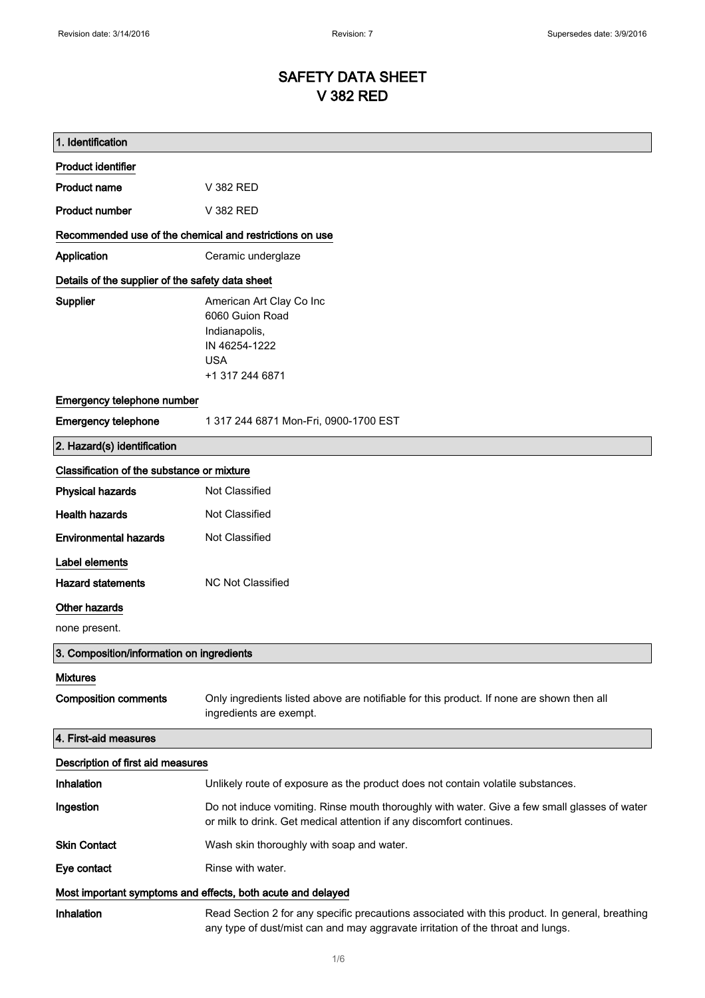# SAFETY DATA SHEET V 382 RED

| 1. Identification                                           |                                                                                                                                                                                    |
|-------------------------------------------------------------|------------------------------------------------------------------------------------------------------------------------------------------------------------------------------------|
| <b>Product identifier</b>                                   |                                                                                                                                                                                    |
| <b>Product name</b>                                         | V 382 RED                                                                                                                                                                          |
| <b>Product number</b>                                       | V 382 RED                                                                                                                                                                          |
| Recommended use of the chemical and restrictions on use     |                                                                                                                                                                                    |
| Application                                                 | Ceramic underglaze                                                                                                                                                                 |
| Details of the supplier of the safety data sheet            |                                                                                                                                                                                    |
| <b>Supplier</b>                                             | American Art Clay Co Inc<br>6060 Guion Road<br>Indianapolis,<br>IN 46254-1222<br><b>USA</b><br>+1 317 244 6871                                                                     |
| Emergency telephone number                                  |                                                                                                                                                                                    |
| <b>Emergency telephone</b>                                  | 1 317 244 6871 Mon-Fri, 0900-1700 EST                                                                                                                                              |
| 2. Hazard(s) identification                                 |                                                                                                                                                                                    |
| Classification of the substance or mixture                  |                                                                                                                                                                                    |
| <b>Physical hazards</b>                                     | <b>Not Classified</b>                                                                                                                                                              |
| <b>Health hazards</b>                                       | Not Classified                                                                                                                                                                     |
| <b>Environmental hazards</b>                                | Not Classified                                                                                                                                                                     |
| Label elements                                              |                                                                                                                                                                                    |
| <b>Hazard statements</b>                                    | <b>NC Not Classified</b>                                                                                                                                                           |
| Other hazards                                               |                                                                                                                                                                                    |
| none present.                                               |                                                                                                                                                                                    |
| 3. Composition/information on ingredients                   |                                                                                                                                                                                    |
| <b>Mixtures</b>                                             |                                                                                                                                                                                    |
| <b>Composition comments</b>                                 | Only ingredients listed above are notifiable for this product. If none are shown then all<br>ingredients are exempt.                                                               |
| 4. First-aid measures                                       |                                                                                                                                                                                    |
| Description of first aid measures                           |                                                                                                                                                                                    |
| Inhalation                                                  | Unlikely route of exposure as the product does not contain volatile substances.                                                                                                    |
| Ingestion                                                   | Do not induce vomiting. Rinse mouth thoroughly with water. Give a few small glasses of water<br>or milk to drink. Get medical attention if any discomfort continues.               |
| <b>Skin Contact</b>                                         | Wash skin thoroughly with soap and water.                                                                                                                                          |
| Eye contact                                                 | Rinse with water.                                                                                                                                                                  |
| Most important symptoms and effects, both acute and delayed |                                                                                                                                                                                    |
| Inhalation                                                  | Read Section 2 for any specific precautions associated with this product. In general, breathing<br>any type of dust/mist can and may aggravate irritation of the throat and lungs. |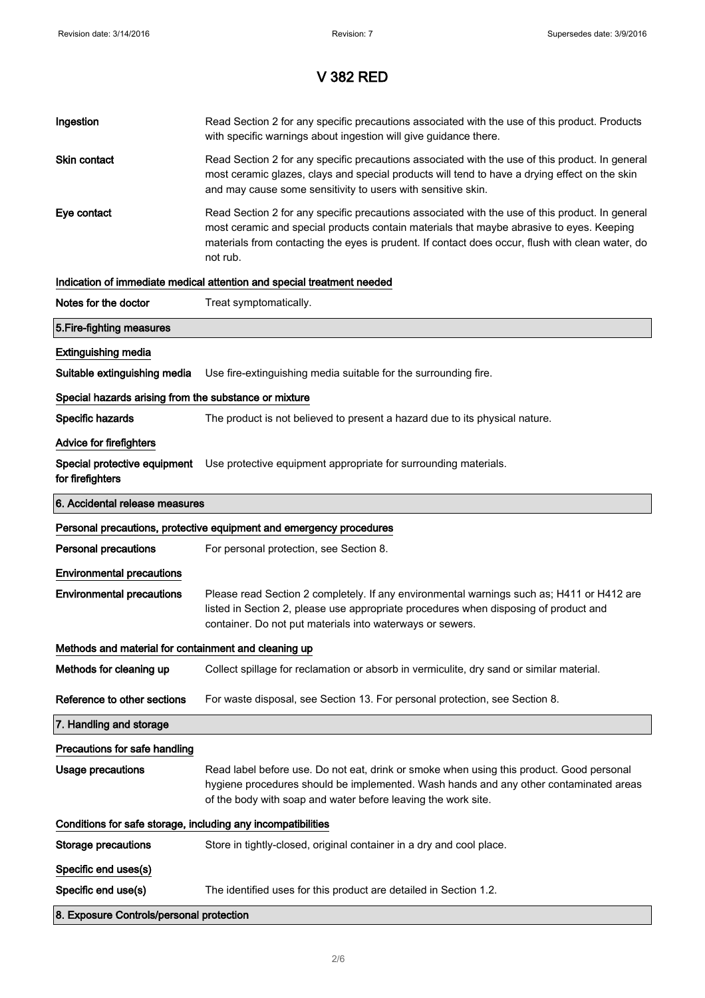| Ingestion                                                    | Read Section 2 for any specific precautions associated with the use of this product. Products<br>with specific warnings about ingestion will give guidance there.                                                                                                                                           |  |
|--------------------------------------------------------------|-------------------------------------------------------------------------------------------------------------------------------------------------------------------------------------------------------------------------------------------------------------------------------------------------------------|--|
| Skin contact                                                 | Read Section 2 for any specific precautions associated with the use of this product. In general<br>most ceramic glazes, clays and special products will tend to have a drying effect on the skin<br>and may cause some sensitivity to users with sensitive skin.                                            |  |
| Eye contact                                                  | Read Section 2 for any specific precautions associated with the use of this product. In general<br>most ceramic and special products contain materials that maybe abrasive to eyes. Keeping<br>materials from contacting the eyes is prudent. If contact does occur, flush with clean water, do<br>not rub. |  |
|                                                              | Indication of immediate medical attention and special treatment needed                                                                                                                                                                                                                                      |  |
| Notes for the doctor                                         | Treat symptomatically.                                                                                                                                                                                                                                                                                      |  |
| 5. Fire-fighting measures                                    |                                                                                                                                                                                                                                                                                                             |  |
| <b>Extinguishing media</b>                                   |                                                                                                                                                                                                                                                                                                             |  |
| Suitable extinguishing media                                 | Use fire-extinguishing media suitable for the surrounding fire.                                                                                                                                                                                                                                             |  |
| Special hazards arising from the substance or mixture        |                                                                                                                                                                                                                                                                                                             |  |
| Specific hazards                                             | The product is not believed to present a hazard due to its physical nature.                                                                                                                                                                                                                                 |  |
| <b>Advice for firefighters</b>                               |                                                                                                                                                                                                                                                                                                             |  |
| for firefighters                                             | Special protective equipment Use protective equipment appropriate for surrounding materials.                                                                                                                                                                                                                |  |
| 6. Accidental release measures                               |                                                                                                                                                                                                                                                                                                             |  |
|                                                              |                                                                                                                                                                                                                                                                                                             |  |
|                                                              | Personal precautions, protective equipment and emergency procedures                                                                                                                                                                                                                                         |  |
| <b>Personal precautions</b>                                  | For personal protection, see Section 8.                                                                                                                                                                                                                                                                     |  |
| <b>Environmental precautions</b>                             |                                                                                                                                                                                                                                                                                                             |  |
| <b>Environmental precautions</b>                             | Please read Section 2 completely. If any environmental warnings such as; H411 or H412 are<br>listed in Section 2, please use appropriate procedures when disposing of product and<br>container. Do not put materials into waterways or sewers.                                                              |  |
| Methods and material for containment and cleaning up         |                                                                                                                                                                                                                                                                                                             |  |
| Methods for cleaning up                                      | Collect spillage for reclamation or absorb in vermiculite, dry sand or similar material.                                                                                                                                                                                                                    |  |
| Reference to other sections                                  | For waste disposal, see Section 13. For personal protection, see Section 8.                                                                                                                                                                                                                                 |  |
| 7. Handling and storage                                      |                                                                                                                                                                                                                                                                                                             |  |
| Precautions for safe handling                                |                                                                                                                                                                                                                                                                                                             |  |
| <b>Usage precautions</b>                                     | Read label before use. Do not eat, drink or smoke when using this product. Good personal<br>hygiene procedures should be implemented. Wash hands and any other contaminated areas<br>of the body with soap and water before leaving the work site.                                                          |  |
| Conditions for safe storage, including any incompatibilities |                                                                                                                                                                                                                                                                                                             |  |
| Storage precautions                                          | Store in tightly-closed, original container in a dry and cool place.                                                                                                                                                                                                                                        |  |
| Specific end uses(s)                                         |                                                                                                                                                                                                                                                                                                             |  |
| Specific end use(s)                                          | The identified uses for this product are detailed in Section 1.2.                                                                                                                                                                                                                                           |  |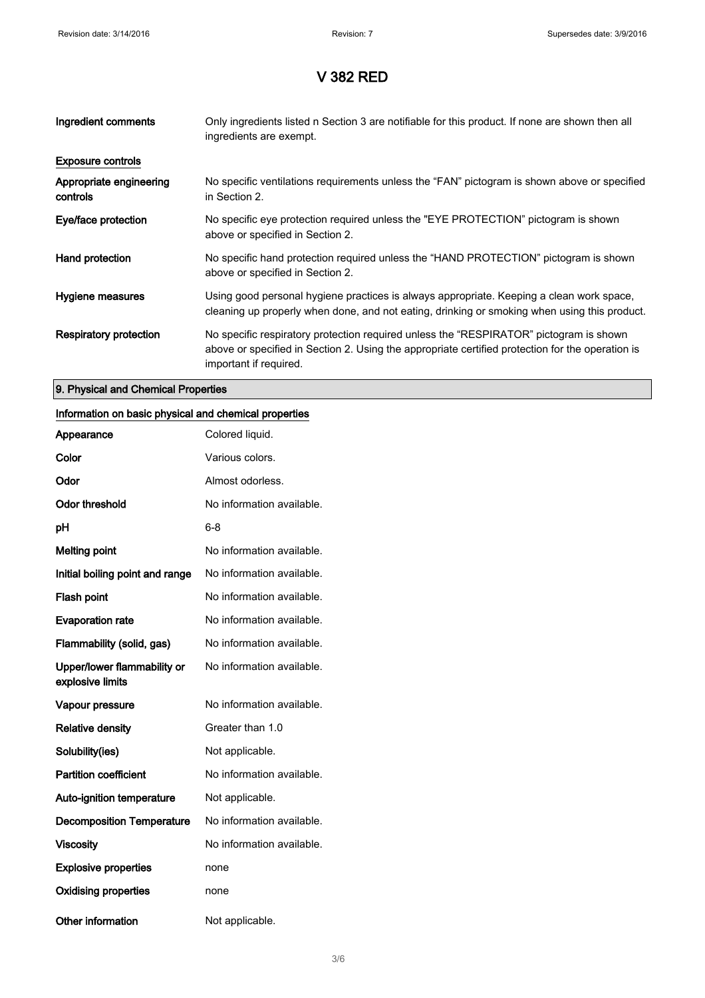| Ingredient comments                 | Only ingredients listed n Section 3 are notifiable for this product. If none are shown then all<br>ingredients are exempt.                                                                                           |
|-------------------------------------|----------------------------------------------------------------------------------------------------------------------------------------------------------------------------------------------------------------------|
| <b>Exposure controls</b>            |                                                                                                                                                                                                                      |
| Appropriate engineering<br>controls | No specific ventilations requirements unless the "FAN" pictogram is shown above or specified<br>in Section 2.                                                                                                        |
| Eye/face protection                 | No specific eye protection required unless the "EYE PROTECTION" pictogram is shown<br>above or specified in Section 2.                                                                                               |
| Hand protection                     | No specific hand protection required unless the "HAND PROTECTION" pictogram is shown<br>above or specified in Section 2.                                                                                             |
| Hygiene measures                    | Using good personal hygiene practices is always appropriate. Keeping a clean work space,<br>cleaning up properly when done, and not eating, drinking or smoking when using this product.                             |
| Respiratory protection              | No specific respiratory protection required unless the "RESPIRATOR" pictogram is shown<br>above or specified in Section 2. Using the appropriate certified protection for the operation is<br>important if required. |

#### 9. Physical and Chemical Properties

#### Information on basic physical and chemical properties

| Appearance                                      | Colored liquid.           |
|-------------------------------------------------|---------------------------|
| Color                                           | Various colors.           |
| Odor                                            | Almost odorless.          |
| <b>Odor threshold</b>                           | No information available. |
| рH                                              | 6-8                       |
| <b>Melting point</b>                            | No information available. |
| Initial boiling point and range                 | No information available. |
| <b>Flash point</b>                              | No information available. |
| <b>Evaporation rate</b>                         | No information available. |
| Flammability (solid, gas)                       | No information available. |
| Upper/lower flammability or<br>explosive limits | No information available. |
| Vapour pressure                                 | No information available. |
| <b>Relative density</b>                         | Greater than 1.0          |
| Solubility(ies)                                 | Not applicable.           |
| <b>Partition coefficient</b>                    | No information available. |
| <b>Auto-ignition temperature</b>                | Not applicable.           |
| <b>Decomposition Temperature</b>                | No information available. |
| <b>Viscosity</b>                                | No information available. |
| <b>Explosive properties</b>                     | none                      |
| <b>Oxidising properties</b>                     | none                      |
| <b>Other information</b>                        | Not applicable.           |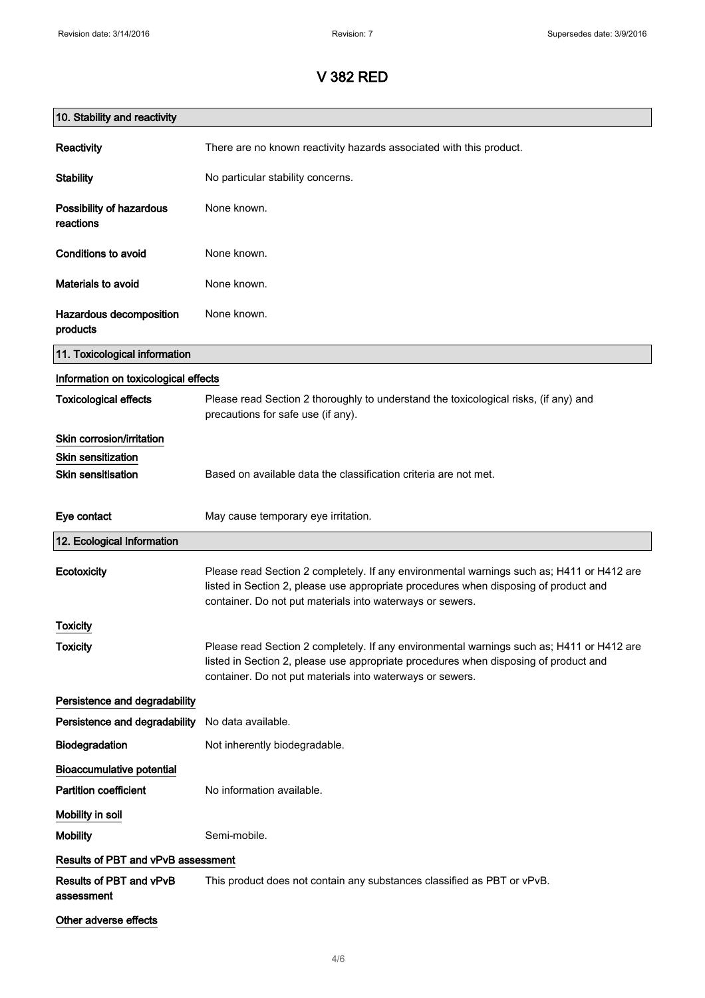| 10. Stability and reactivity                           |                                                                                                                                                                                                                                                |
|--------------------------------------------------------|------------------------------------------------------------------------------------------------------------------------------------------------------------------------------------------------------------------------------------------------|
| Reactivity                                             | There are no known reactivity hazards associated with this product.                                                                                                                                                                            |
| <b>Stability</b>                                       | No particular stability concerns.                                                                                                                                                                                                              |
| Possibility of hazardous<br>reactions                  | None known.                                                                                                                                                                                                                                    |
| <b>Conditions to avoid</b>                             | None known.                                                                                                                                                                                                                                    |
| <b>Materials to avoid</b>                              | None known.                                                                                                                                                                                                                                    |
| Hazardous decomposition<br>products                    | None known.                                                                                                                                                                                                                                    |
| 11. Toxicological information                          |                                                                                                                                                                                                                                                |
| Information on toxicological effects                   |                                                                                                                                                                                                                                                |
| <b>Toxicological effects</b>                           | Please read Section 2 thoroughly to understand the toxicological risks, (if any) and<br>precautions for safe use (if any).                                                                                                                     |
| Skin corrosion/irritation                              |                                                                                                                                                                                                                                                |
| <b>Skin sensitization</b><br><b>Skin sensitisation</b> | Based on available data the classification criteria are not met.                                                                                                                                                                               |
| Eye contact                                            | May cause temporary eye irritation.                                                                                                                                                                                                            |
| 12. Ecological Information                             |                                                                                                                                                                                                                                                |
| Ecotoxicity                                            | Please read Section 2 completely. If any environmental warnings such as; H411 or H412 are<br>listed in Section 2, please use appropriate procedures when disposing of product and<br>container. Do not put materials into waterways or sewers. |
| <b>Toxicity</b>                                        |                                                                                                                                                                                                                                                |
| <b>Toxicity</b>                                        | Please read Section 2 completely. If any environmental warnings such as; H411 or H412 are<br>listed in Section 2, please use appropriate procedures when disposing of product and<br>container. Do not put materials into waterways or sewers. |
| Persistence and degradability                          |                                                                                                                                                                                                                                                |
| Persistence and degradability                          | No data available.                                                                                                                                                                                                                             |
| Biodegradation                                         | Not inherently biodegradable.                                                                                                                                                                                                                  |
| <b>Bioaccumulative potential</b>                       |                                                                                                                                                                                                                                                |
| <b>Partition coefficient</b>                           | No information available.                                                                                                                                                                                                                      |
| Mobility in soil                                       |                                                                                                                                                                                                                                                |
| <b>Mobility</b>                                        | Semi-mobile.                                                                                                                                                                                                                                   |
| Results of PBT and vPvB assessment                     |                                                                                                                                                                                                                                                |
| Results of PBT and vPvB<br>assessment                  | This product does not contain any substances classified as PBT or vPvB.                                                                                                                                                                        |
| Other adverse effects                                  |                                                                                                                                                                                                                                                |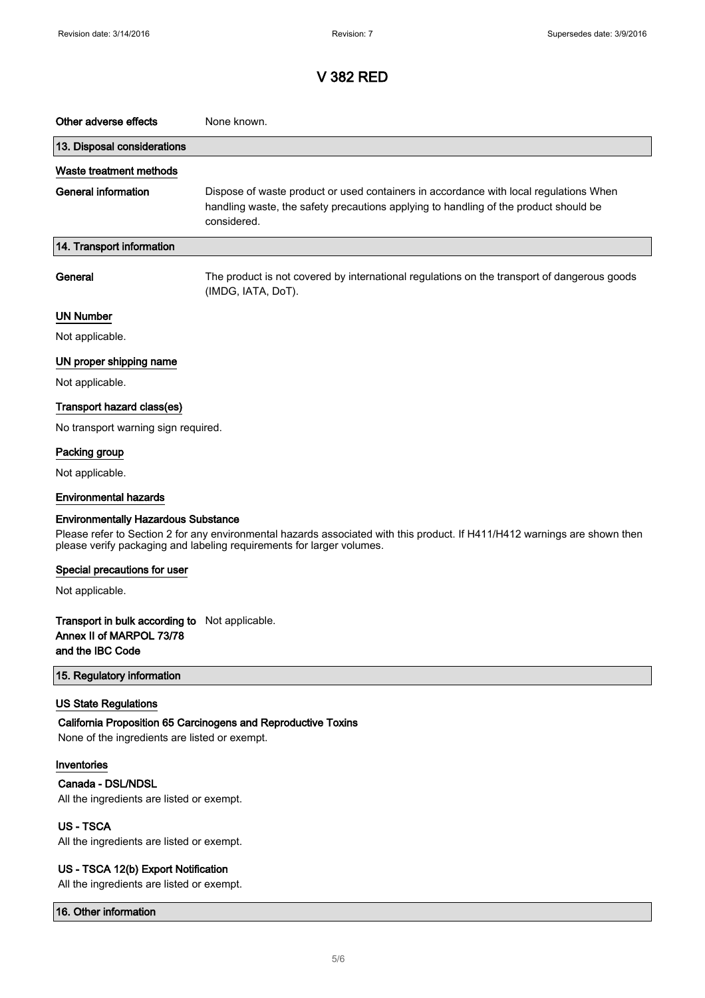| Other adverse effects                                                                          | None known.                                                                                                                                                                                         |
|------------------------------------------------------------------------------------------------|-----------------------------------------------------------------------------------------------------------------------------------------------------------------------------------------------------|
| 13. Disposal considerations                                                                    |                                                                                                                                                                                                     |
| Waste treatment methods                                                                        |                                                                                                                                                                                                     |
| <b>General information</b>                                                                     | Dispose of waste product or used containers in accordance with local regulations When<br>handling waste, the safety precautions applying to handling of the product should be<br>considered.        |
| 14. Transport information                                                                      |                                                                                                                                                                                                     |
| General                                                                                        | The product is not covered by international regulations on the transport of dangerous goods<br>(IMDG, IATA, DoT).                                                                                   |
| <b>UN Number</b>                                                                               |                                                                                                                                                                                                     |
| Not applicable.                                                                                |                                                                                                                                                                                                     |
| UN proper shipping name                                                                        |                                                                                                                                                                                                     |
| Not applicable.                                                                                |                                                                                                                                                                                                     |
| Transport hazard class(es)                                                                     |                                                                                                                                                                                                     |
| No transport warning sign required.                                                            |                                                                                                                                                                                                     |
| Packing group                                                                                  |                                                                                                                                                                                                     |
| Not applicable.                                                                                |                                                                                                                                                                                                     |
| <b>Environmental hazards</b>                                                                   |                                                                                                                                                                                                     |
| <b>Environmentally Hazardous Substance</b>                                                     | Please refer to Section 2 for any environmental hazards associated with this product. If H411/H412 warnings are shown then<br>please verify packaging and labeling requirements for larger volumes. |
| Special precautions for user                                                                   |                                                                                                                                                                                                     |
| Not applicable.                                                                                |                                                                                                                                                                                                     |
| Transport in bulk according to Not applicable.<br>Annex II of MARPOL 73/78<br>and the IBC Code |                                                                                                                                                                                                     |
| 15. Regulatory information                                                                     |                                                                                                                                                                                                     |
| <b>US State Regulations</b><br>None of the ingredients are listed or exempt.                   | California Proposition 65 Carcinogens and Reproductive Toxins                                                                                                                                       |
| Inventories                                                                                    |                                                                                                                                                                                                     |
| Canada - DSL/NDSL                                                                              |                                                                                                                                                                                                     |
| All the ingredients are listed or exempt.                                                      |                                                                                                                                                                                                     |
| <b>US-TSCA</b><br>All the ingredients are listed or exempt.                                    |                                                                                                                                                                                                     |
| US - TSCA 12(b) Export Notification                                                            |                                                                                                                                                                                                     |

All the ingredients are listed or exempt.

16. Other information